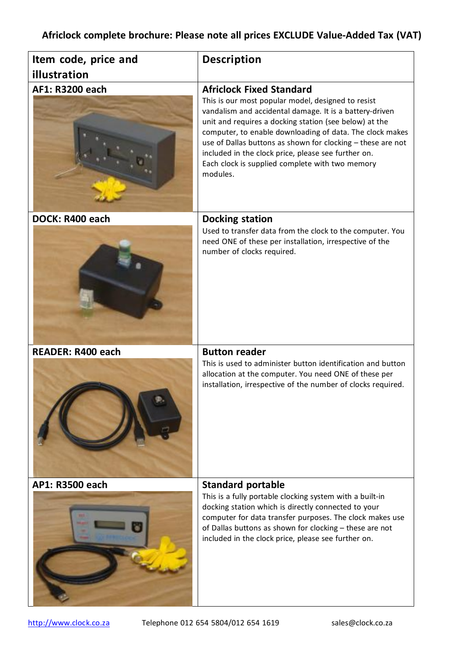## **Africlock complete brochure: Please note all prices EXCLUDE Value-Added Tax (VAT)**

| Item code, price and     | <b>Description</b>                                                                                                                                                                                                                                                                                                                                                                                                                                          |
|--------------------------|-------------------------------------------------------------------------------------------------------------------------------------------------------------------------------------------------------------------------------------------------------------------------------------------------------------------------------------------------------------------------------------------------------------------------------------------------------------|
| illustration             |                                                                                                                                                                                                                                                                                                                                                                                                                                                             |
| <b>AF1: R3200 each</b>   | <b>Africlock Fixed Standard</b><br>This is our most popular model, designed to resist<br>vandalism and accidental damage. It is a battery-driven<br>unit and requires a docking station (see below) at the<br>computer, to enable downloading of data. The clock makes<br>use of Dallas buttons as shown for clocking - these are not<br>included in the clock price, please see further on.<br>Each clock is supplied complete with two memory<br>modules. |
| DOCK: R400 each          | <b>Docking station</b><br>Used to transfer data from the clock to the computer. You<br>need ONE of these per installation, irrespective of the<br>number of clocks required.                                                                                                                                                                                                                                                                                |
| <b>READER: R400 each</b> | <b>Button reader</b>                                                                                                                                                                                                                                                                                                                                                                                                                                        |
|                          | This is used to administer button identification and button<br>allocation at the computer. You need ONE of these per<br>installation, irrespective of the number of clocks required.                                                                                                                                                                                                                                                                        |
| AP1: R3500 each          | <b>Standard portable</b><br>This is a fully portable clocking system with a built-in<br>docking station which is directly connected to your<br>computer for data transfer purposes. The clock makes use<br>of Dallas buttons as shown for clocking - these are not<br>included in the clock price, please see further on.                                                                                                                                   |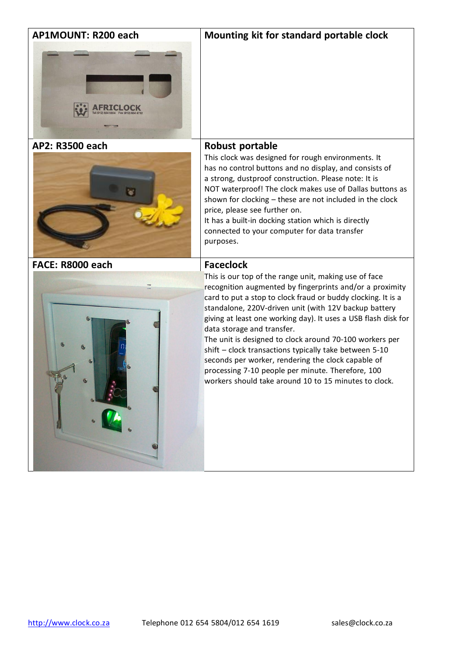| <b>AP1MOUNT: R200 each</b> | Mounting kit for standard portable clock                                                                                                                                                                                                                                                                                                                                                                                                                                                                                                                                                                                                                |
|----------------------------|---------------------------------------------------------------------------------------------------------------------------------------------------------------------------------------------------------------------------------------------------------------------------------------------------------------------------------------------------------------------------------------------------------------------------------------------------------------------------------------------------------------------------------------------------------------------------------------------------------------------------------------------------------|
| AP2: R3500 each            | Robust portable<br>This clock was designed for rough environments. It<br>has no control buttons and no display, and consists of<br>a strong, dustproof construction. Please note: It is<br>NOT waterproof! The clock makes use of Dallas buttons as<br>shown for clocking - these are not included in the clock<br>price, please see further on.<br>It has a built-in docking station which is directly<br>connected to your computer for data transfer<br>purposes.                                                                                                                                                                                    |
| FACE: R8000 each           | <b>Faceclock</b><br>This is our top of the range unit, making use of face<br>recognition augmented by fingerprints and/or a proximity<br>card to put a stop to clock fraud or buddy clocking. It is a<br>standalone, 220V-driven unit (with 12V backup battery<br>giving at least one working day). It uses a USB flash disk for<br>data storage and transfer.<br>The unit is designed to clock around 70-100 workers per<br>shift - clock transactions typically take between 5-10<br>seconds per worker, rendering the clock capable of<br>processing 7-10 people per minute. Therefore, 100<br>workers should take around 10 to 15 minutes to clock. |